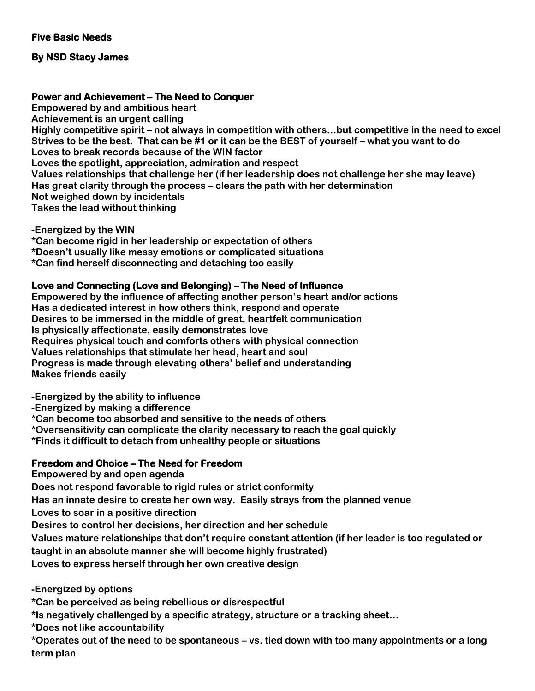## **By NSD Stacy James**

#### **Power and Achievement – The Need to Conquer**

**Empowered by and ambitious heart Achievement is an urgent calling Highly competitive spirit – not always in competition with others…but competitive in the need to excel Strives to be the best. That can be #1 or it can be the BEST of yourself – what you want to do Loves to break records because of the WIN factor Loves the spotlight, appreciation, admiration and respect Values relationships that challenge her (if her leadership does not challenge her she may leave) Has great clarity through the process – clears the path with her determination Not weighed down by incidentals Takes the lead without thinking**

**-Energized by the WIN**

**\*Can become rigid in her leadership or expectation of others \*Doesn't usually like messy emotions or complicated situations \*Can find herself disconnecting and detaching too easily**

#### **Love and Connecting (Love and Belonging) – The Need of Influence**

**Empowered by the influence of affecting another person's heart and/or actions Has a dedicated interest in how others think, respond and operate Desires to be immersed in the middle of great, heartfelt communication Is physically affectionate, easily demonstrates love Requires physical touch and comforts others with physical connection Values relationships that stimulate her head, heart and soul Progress is made through elevating others' belief and understanding Makes friends easily**

**-Energized by the ability to influence**

**-Energized by making a difference**

**\*Can become too absorbed and sensitive to the needs of others**

**\*Oversensitivity can complicate the clarity necessary to reach the goal quickly**

**\*Finds it difficult to detach from unhealthy people or situations**

## **Freedom and Choice – The Need for Freedom**

**Empowered by and open agenda Does not respond favorable to rigid rules or strict conformity Has an innate desire to create her own way. Easily strays from the planned venue Loves to soar in a positive direction Desires to control her decisions, her direction and her schedule Values mature relationships that don't require constant attention (if her leader is too regulated or taught in an absolute manner she will become highly frustrated) Loves to express herself through her own creative design**

**-Energized by options**

**\*Can be perceived as being rebellious or disrespectful**

**\*Is negatively challenged by a specific strategy, structure or a tracking sheet…**

**\*Does not like accountability**

**\*Operates out of the need to be spontaneous – vs. tied down with too many appointments or a long term plan**